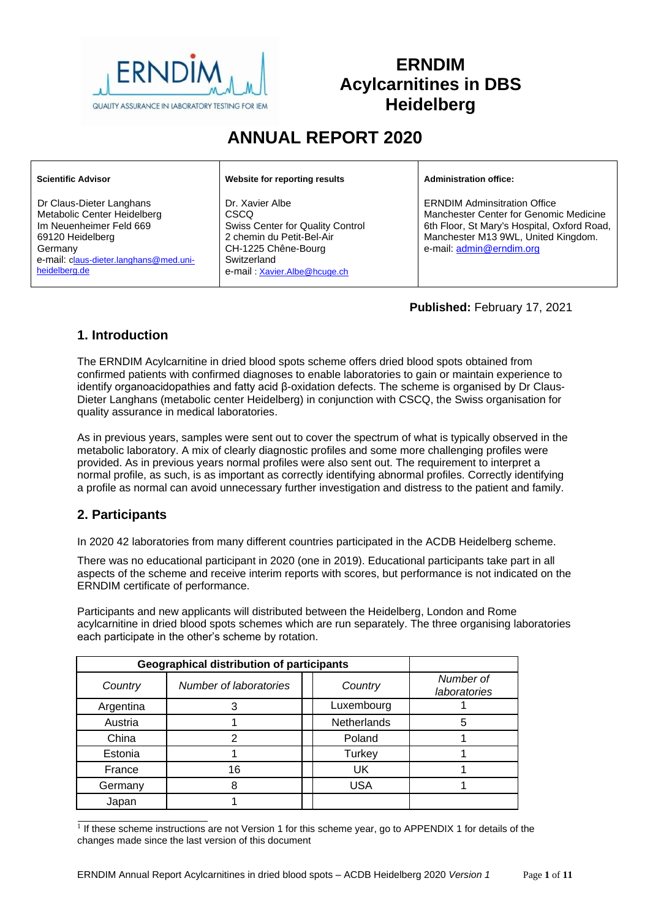

# **ERNDIM Acylcarnitines in DBS Heidelberg**

# **ANNUAL REPORT 2020**

| <b>Scientific Advisor</b>                                                                                                                                                    | Website for reporting results                                                                                                                                         | <b>Administration office:</b>                                                                                                                                                                   |
|------------------------------------------------------------------------------------------------------------------------------------------------------------------------------|-----------------------------------------------------------------------------------------------------------------------------------------------------------------------|-------------------------------------------------------------------------------------------------------------------------------------------------------------------------------------------------|
| Dr Claus-Dieter Langhans<br>Metabolic Center Heidelberg<br>Im Neuenheimer Feld 669<br>69120 Heidelberg<br>Germany<br>e-mail: claus-dieter.langhans@med.uni-<br>heidelberg.de | Dr. Xavier Albe<br>CSCO<br><b>Swiss Center for Quality Control</b><br>2 chemin du Petit-Bel-Air<br>CH-1225 Chêne-Bourg<br>Switzerland<br>e-mail: Xavier.Albe@hcuge.ch | <b>ERNDIM Adminsitration Office</b><br>Manchester Center for Genomic Medicine<br>6th Floor, St Mary's Hospital, Oxford Road,<br>Manchester M13 9WL, United Kingdom.<br>e-mail: admin@erndim.org |

**Published:** February 17, 2021

# **1. Introduction**

The ERNDIM Acylcarnitine in dried blood spots scheme offers dried blood spots obtained from confirmed patients with confirmed diagnoses to enable laboratories to gain or maintain experience to identify organoacidopathies and fatty acid β-oxidation defects. The scheme is organised by Dr Claus-Dieter Langhans (metabolic center Heidelberg) in conjunction with CSCQ, the Swiss organisation for quality assurance in medical laboratories.

As in previous years, samples were sent out to cover the spectrum of what is typically observed in the metabolic laboratory. A mix of clearly diagnostic profiles and some more challenging profiles were provided. As in previous years normal profiles were also sent out. The requirement to interpret a normal profile, as such, is as important as correctly identifying abnormal profiles. Correctly identifying a profile as normal can avoid unnecessary further investigation and distress to the patient and family.

# **2. Participants**

In 2020 42 laboratories from many different countries participated in the ACDB Heidelberg scheme.

There was no educational participant in 2020 (one in 2019). Educational participants take part in all aspects of the scheme and receive interim reports with scores, but performance is not indicated on the ERNDIM certificate of performance.

Participants and new applicants will distributed between the Heidelberg, London and Rome acylcarnitine in dried blood spots schemes which are run separately. The three organising laboratories each participate in the other's scheme by rotation.

| <b>Geographical distribution of participants</b> |                                   |                    |                           |
|--------------------------------------------------|-----------------------------------|--------------------|---------------------------|
| Country                                          | Number of laboratories<br>Country |                    | Number of<br>laboratories |
| Argentina                                        |                                   | Luxembourg         |                           |
| Austria                                          |                                   | <b>Netherlands</b> | 5                         |
| China                                            |                                   | Poland             |                           |
| Estonia                                          |                                   | Turkey             |                           |
| France                                           | 16                                | UK                 |                           |
| Germany                                          |                                   | <b>USA</b>         |                           |
| Japan                                            |                                   |                    |                           |

<sup>1</sup> If these scheme instructions are not Version 1 for this scheme year, go to [APPENDIX 1](#page-10-0) for details of the changes made since the last version of this document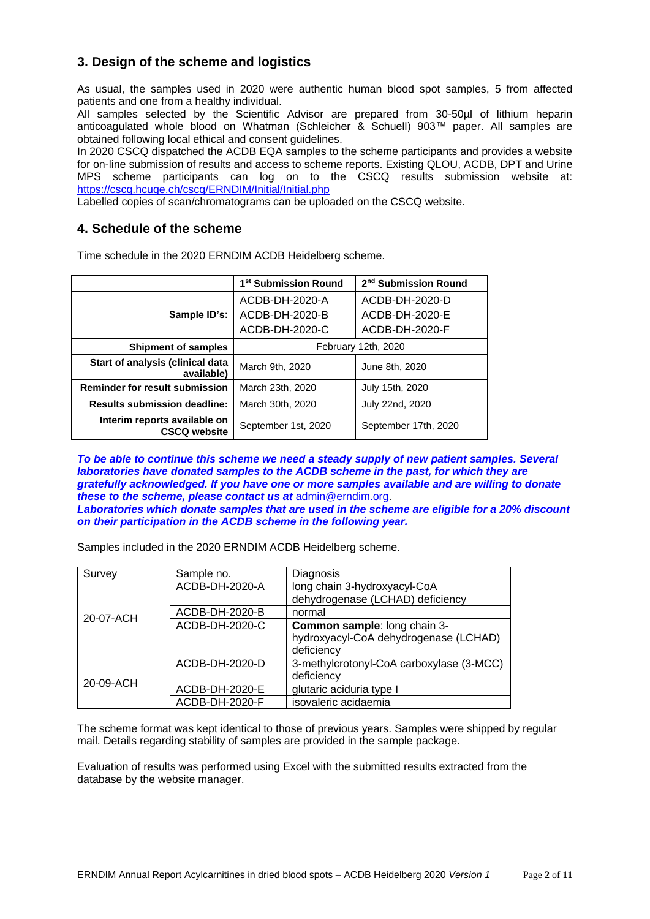# **3. Design of the scheme and logistics**

As usual, the samples used in 2020 were authentic human blood spot samples, 5 from affected patients and one from a healthy individual.

All samples selected by the Scientific Advisor are prepared from 30-50µl of lithium heparin anticoagulated whole blood on Whatman (Schleicher & Schuell) 903™ paper. All samples are obtained following local ethical and consent guidelines.

In 2020 CSCQ dispatched the ACDB EQA samples to the scheme participants and provides a website for on-line submission of results and access to scheme reports. Existing QLOU, ACDB, DPT and Urine MPS scheme participants can log on to the CSCQ results submission website at: <https://cscq.hcuge.ch/cscq/ERNDIM/Initial/Initial.php>

Labelled copies of scan/chromatograms can be uploaded on the CSCQ website.

## **4. Schedule of the scheme**

Time schedule in the 2020 ERNDIM ACDB Heidelberg scheme.

|                                                     | 1 <sup>st</sup> Submission Round | 2 <sup>nd</sup> Submission Round |  |
|-----------------------------------------------------|----------------------------------|----------------------------------|--|
|                                                     | ACDB-DH-2020-A                   | ACDB-DH-2020-D                   |  |
| Sample ID's:                                        | ACDB-DH-2020-B                   | ACDB-DH-2020-E                   |  |
|                                                     | ACDB-DH-2020-C                   | ACDB-DH-2020-F                   |  |
| <b>Shipment of samples</b>                          | February 12th, 2020              |                                  |  |
| Start of analysis (clinical data<br>available)      | March 9th, 2020                  |                                  |  |
| <b>Reminder for result submission</b>               | March 23th, 2020                 | July 15th, 2020                  |  |
| <b>Results submission deadline:</b>                 | March 30th, 2020                 | July 22nd, 2020                  |  |
| Interim reports available on<br><b>CSCQ website</b> | September 1st, 2020              | September 17th, 2020             |  |

*To be able to continue this scheme we need a steady supply of new patient samples. Several laboratories have donated samples to the ACDB scheme in the past, for which they are gratefully acknowledged. If you have one or more samples available and are willing to donate these to the scheme, please contact us at* [admin@erndim.org.](mailto:admin@erndim.org)

*Laboratories which donate samples that are used in the scheme are eligible for a 20% discount on their participation in the ACDB scheme in the following year.*

Samples included in the 2020 ERNDIM ACDB Heidelberg scheme.

| Survey    | Sample no.     | Diagnosis                                |
|-----------|----------------|------------------------------------------|
|           | ACDB-DH-2020-A | long chain 3-hydroxyacyl-CoA             |
|           |                | dehydrogenase (LCHAD) deficiency         |
| 20-07-ACH | ACDB-DH-2020-B | normal                                   |
|           | ACDB-DH-2020-C | Common sample: long chain 3-             |
|           |                | hydroxyacyl-CoA dehydrogenase (LCHAD)    |
|           |                | deficiency                               |
|           | ACDB-DH-2020-D | 3-methylcrotonyl-CoA carboxylase (3-MCC) |
| 20-09-ACH |                | deficiency                               |
|           | ACDB-DH-2020-E | glutaric aciduria type I                 |
|           | ACDB-DH-2020-F | isovaleric acidaemia                     |

The scheme format was kept identical to those of previous years. Samples were shipped by regular mail. Details regarding stability of samples are provided in the sample package.

Evaluation of results was performed using Excel with the submitted results extracted from the database by the website manager.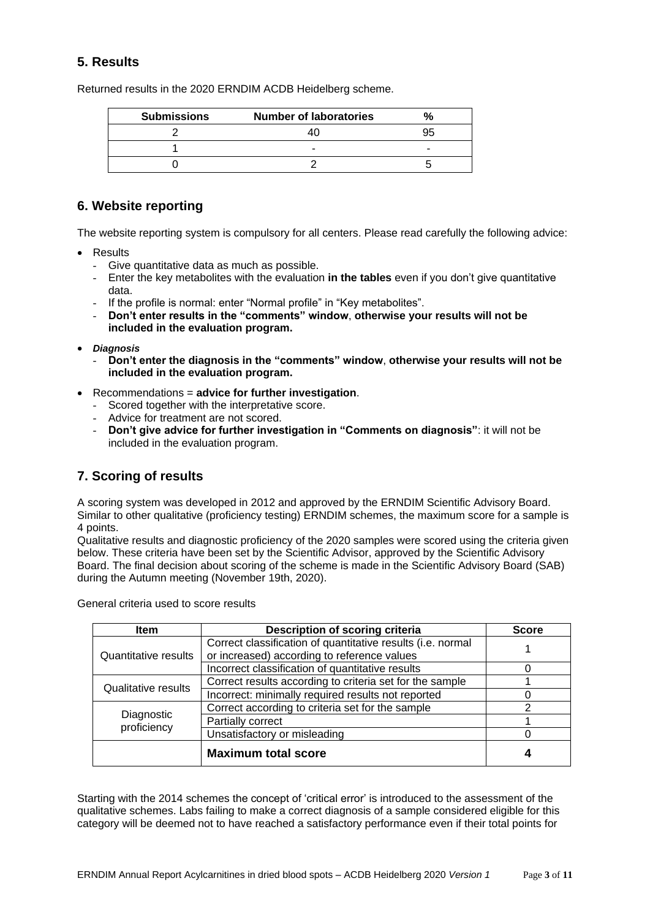# **5. Results**

Returned results in the 2020 ERNDIM ACDB Heidelberg scheme.

| <b>Submissions</b> | <b>Number of laboratories</b> |  |
|--------------------|-------------------------------|--|
|                    |                               |  |
|                    |                               |  |
|                    |                               |  |

## **6. Website reporting**

The website reporting system is compulsory for all centers. Please read carefully the following advice:

- Results
	- Give quantitative data as much as possible.
	- Enter the key metabolites with the evaluation **in the tables** even if you don't give quantitative data.
	- If the profile is normal: enter "Normal profile" in "Key metabolites".
	- **Don't enter results in the "comments" window**, **otherwise your results will not be included in the evaluation program.**
- *Diagnosis*
	- **Don't enter the diagnosis in the "comments" window**, **otherwise your results will not be included in the evaluation program.**
- Recommendations = **advice for further investigation**.
	- Scored together with the interpretative score.
	- Advice for treatment are not scored.
	- **Don't give advice for further investigation in "Comments on diagnosis"**: it will not be included in the evaluation program.

# **7. Scoring of results**

A scoring system was developed in 2012 and approved by the ERNDIM Scientific Advisory Board. Similar to other qualitative (proficiency testing) ERNDIM schemes, the maximum score for a sample is 4 points.

Qualitative results and diagnostic proficiency of the 2020 samples were scored using the criteria given below. These criteria have been set by the Scientific Advisor, approved by the Scientific Advisory Board. The final decision about scoring of the scheme is made in the Scientific Advisory Board (SAB) during the Autumn meeting (November 19th, 2020).

General criteria used to score results

| <b>Item</b>                | <b>Score</b>                                                                                               |   |
|----------------------------|------------------------------------------------------------------------------------------------------------|---|
| Quantitative results       | Correct classification of quantitative results (i.e. normal<br>or increased) according to reference values |   |
|                            | Incorrect classification of quantitative results                                                           |   |
|                            | Correct results according to criteria set for the sample                                                   |   |
| <b>Qualitative results</b> | Incorrect: minimally required results not reported                                                         |   |
|                            | Correct according to criteria set for the sample                                                           | າ |
| Diagnostic<br>proficiency  | Partially correct                                                                                          |   |
|                            | Unsatisfactory or misleading                                                                               |   |
|                            | <b>Maximum total score</b>                                                                                 |   |

Starting with the 2014 schemes the concept of 'critical error' is introduced to the assessment of the qualitative schemes. Labs failing to make a correct diagnosis of a sample considered eligible for this category will be deemed not to have reached a satisfactory performance even if their total points for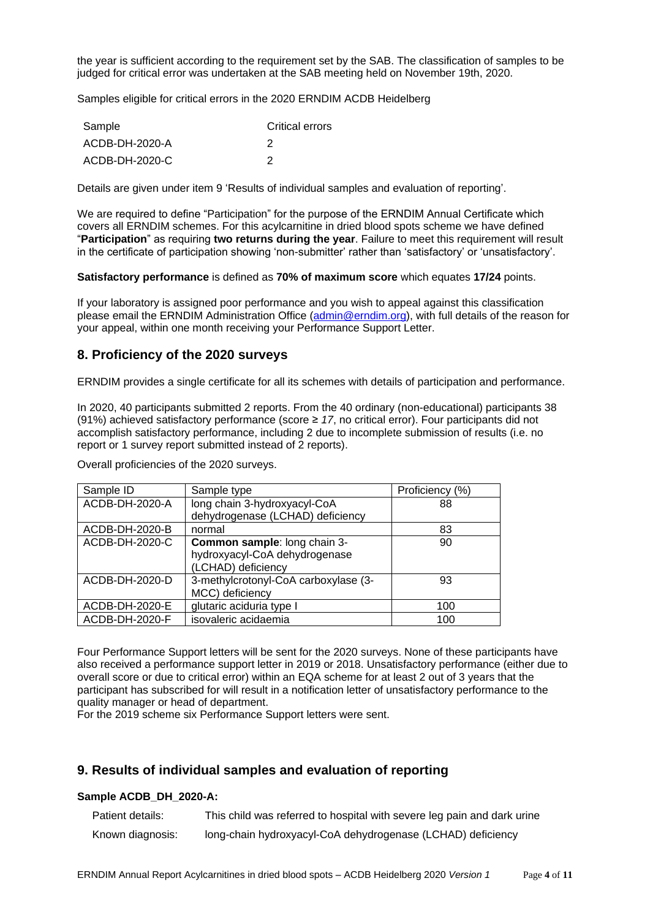the year is sufficient according to the requirement set by the SAB. The classification of samples to be judged for critical error was undertaken at the SAB meeting held on November 19th, 2020.

Samples eligible for critical errors in the 2020 ERNDIM ACDB Heidelberg

| Sample         | <b>Critical errors</b> |
|----------------|------------------------|
| ACDB-DH-2020-A |                        |
| ACDB-DH-2020-C |                        |

Details are given under item 9 'Results of individual samples and evaluation of reporting'.

We are required to define "Participation" for the purpose of the ERNDIM Annual Certificate which covers all ERNDIM schemes. For this acylcarnitine in dried blood spots scheme we have defined "**Participation**" as requiring **two returns during the year**. Failure to meet this requirement will result in the certificate of participation showing 'non-submitter' rather than 'satisfactory' or 'unsatisfactory'.

**Satisfactory performance** is defined as **70% of maximum score** which equates **17/24** points.

If your laboratory is assigned poor performance and you wish to appeal against this classification please email the ERNDIM Administration Office [\(admin@erndim.org\)](mailto:admin@erndim.org), with full details of the reason for your appeal, within one month receiving your Performance Support Letter.

## **8. Proficiency of the 2020 surveys**

ERNDIM provides a single certificate for all its schemes with details of participation and performance.

In 2020, 40 participants submitted 2 reports. From the 40 ordinary (non-educational) participants 38 (91%) achieved satisfactory performance (score ≥ *17*, no critical error). Four participants did not accomplish satisfactory performance, including 2 due to incomplete submission of results (i.e. no report or 1 survey report submitted instead of 2 reports).

Overall proficiencies of the 2020 surveys.

| Sample ID      | Sample type                          | Proficiency (%) |
|----------------|--------------------------------------|-----------------|
| ACDB-DH-2020-A | long chain 3-hydroxyacyl-CoA         | 88              |
|                | dehydrogenase (LCHAD) deficiency     |                 |
| ACDB-DH-2020-B | normal                               | 83              |
| ACDB-DH-2020-C | Common sample: long chain 3-         | 90              |
|                | hydroxyacyl-CoA dehydrogenase        |                 |
|                | (LCHAD) deficiency                   |                 |
| ACDB-DH-2020-D | 3-methylcrotonyl-CoA carboxylase (3- | 93              |
|                | MCC) deficiency                      |                 |
| ACDB-DH-2020-E | glutaric aciduria type I             | 100             |
| ACDB-DH-2020-F | isovaleric acidaemia                 | 100             |

Four Performance Support letters will be sent for the 2020 surveys. None of these participants have also received a performance support letter in 2019 or 2018. Unsatisfactory performance (either due to overall score or due to critical error) within an EQA scheme for at least 2 out of 3 years that the participant has subscribed for will result in a notification letter of unsatisfactory performance to the quality manager or head of department.

For the 2019 scheme six Performance Support letters were sent.

## **9. Results of individual samples and evaluation of reporting**

## **Sample ACDB\_DH\_2020-A:**

| Patient details: | This child was referred to hospital with severe leg pain and dark urine |
|------------------|-------------------------------------------------------------------------|
| Known diagnosis: | long-chain hydroxyacyl-CoA dehydrogenase (LCHAD) deficiency             |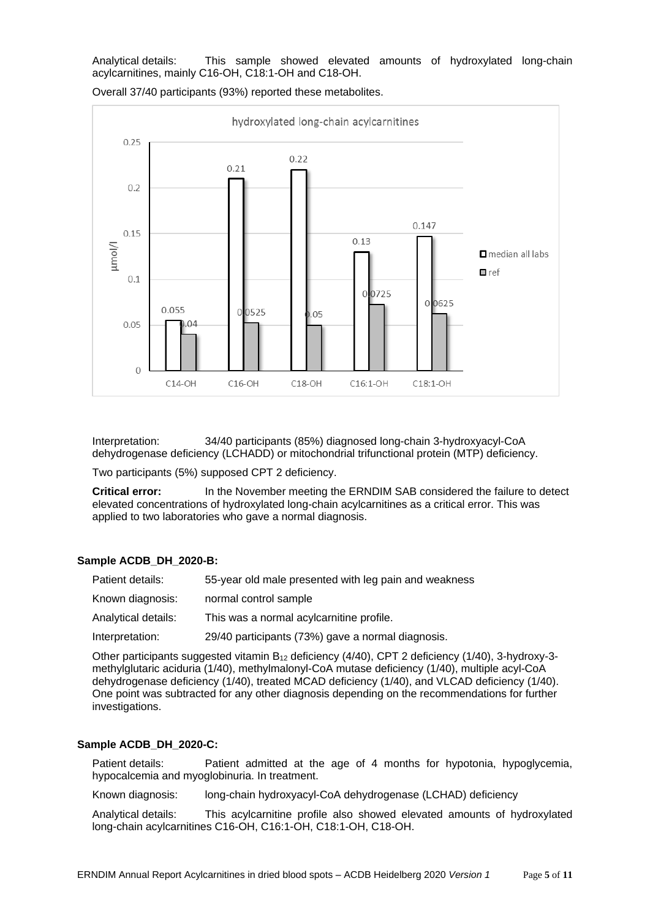Analytical details: This sample showed elevated amounts of hydroxylated long-chain acylcarnitines, mainly C16-OH, C18:1-OH and C18-OH.



Overall 37/40 participants (93%) reported these metabolites.

Interpretation: 34/40 participants (85%) diagnosed long-chain 3-hydroxyacyl-CoA dehydrogenase deficiency (LCHADD) or mitochondrial trifunctional protein (MTP) deficiency.

Two participants (5%) supposed CPT 2 deficiency.

**Critical error:** In the November meeting the ERNDIM SAB considered the failure to detect elevated concentrations of hydroxylated long-chain acylcarnitines as a critical error. This was applied to two laboratories who gave a normal diagnosis.

#### **Sample ACDB\_DH\_2020-B:**

| Patient details:    | 55-year old male presented with leg pain and weakness |
|---------------------|-------------------------------------------------------|
| Known diagnosis:    | normal control sample                                 |
| Analytical details: | This was a normal acylcarnitine profile.              |
| Interpretation:     | 29/40 participants (73%) gave a normal diagnosis.     |

Other participants suggested vitamin B<sup>12</sup> deficiency (4/40), CPT 2 deficiency (1/40), 3-hydroxy-3 methylglutaric aciduria (1/40), methylmalonyl-CoA mutase deficiency (1/40), multiple acyl-CoA dehydrogenase deficiency (1/40), treated MCAD deficiency (1/40), and VLCAD deficiency (1/40). One point was subtracted for any other diagnosis depending on the recommendations for further investigations.

#### **Sample ACDB\_DH\_2020-C:**

Patient details: Patient admitted at the age of 4 months for hypotonia, hypoglycemia, hypocalcemia and myoglobinuria. In treatment.

Known diagnosis: long-chain hydroxyacyl-CoA dehydrogenase (LCHAD) deficiency

Analytical details: This acylcarnitine profile also showed elevated amounts of hydroxylated long-chain acylcarnitines C16-OH, C16:1-OH, C18:1-OH, C18-OH.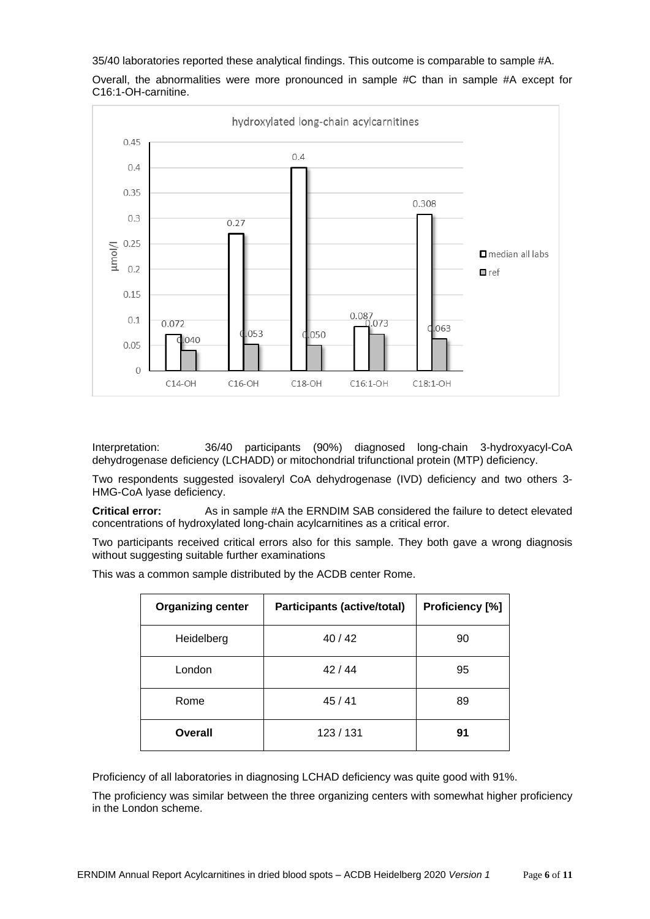35/40 laboratories reported these analytical findings. This outcome is comparable to sample #A.

Overall, the abnormalities were more pronounced in sample #C than in sample #A except for C16:1-OH-carnitine.



Interpretation: 36/40 participants (90%) diagnosed long-chain 3-hydroxyacyl-CoA dehydrogenase deficiency (LCHADD) or mitochondrial trifunctional protein (MTP) deficiency.

Two respondents suggested isovaleryl CoA dehydrogenase (IVD) deficiency and two others 3- HMG-CoA lyase deficiency.

**Critical error:** As in sample #A the ERNDIM SAB considered the failure to detect elevated concentrations of hydroxylated long-chain acylcarnitines as a critical error.

Two participants received critical errors also for this sample. They both gave a wrong diagnosis without suggesting suitable further examinations

This was a common sample distributed by the ACDB center Rome.

| <b>Organizing center</b> | <b>Participants (active/total)</b> | Proficiency [%] |  |  |
|--------------------------|------------------------------------|-----------------|--|--|
| Heidelberg               | 40/42                              | 90              |  |  |
| London                   | 42/44                              | 95              |  |  |
| Rome                     | 45/41                              | 89              |  |  |
| Overall                  | 123/131                            | 91              |  |  |

Proficiency of all laboratories in diagnosing LCHAD deficiency was quite good with 91%.

The proficiency was similar between the three organizing centers with somewhat higher proficiency in the London scheme.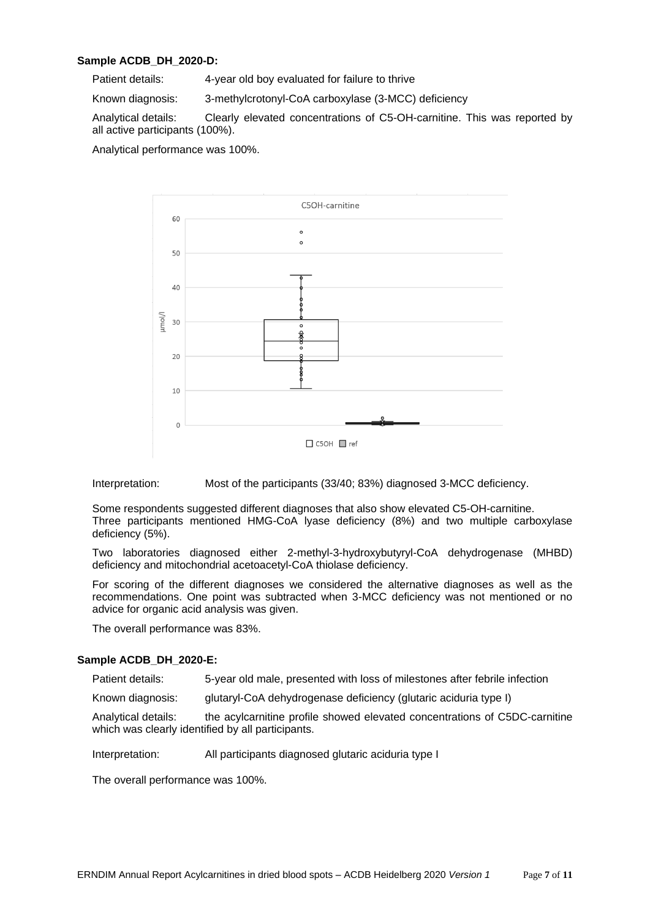### **Sample ACDB\_DH\_2020-D:**

Patient details: 4-year old boy evaluated for failure to thrive

Known diagnosis: 3-methylcrotonyl-CoA carboxylase (3-MCC) deficiency

Analytical details: Clearly elevated concentrations of C5-OH-carnitine. This was reported by all active participants (100%).

Analytical performance was 100%.



Interpretation: Most of the participants (33/40; 83%) diagnosed 3-MCC deficiency.

Some respondents suggested different diagnoses that also show elevated C5-OH-carnitine. Three participants mentioned HMG-CoA lyase deficiency (8%) and two multiple carboxylase deficiency (5%).

Two laboratories diagnosed either 2-methyl-3-hydroxybutyryl-CoA dehydrogenase (MHBD) deficiency and mitochondrial acetoacetyl-CoA thiolase deficiency.

For scoring of the different diagnoses we considered the alternative diagnoses as well as the recommendations. One point was subtracted when 3-MCC deficiency was not mentioned or no advice for organic acid analysis was given.

The overall performance was 83%.

#### **Sample ACDB\_DH\_2020-E:**

Patient details: 5-year old male, presented with loss of milestones after febrile infection

Known diagnosis: glutaryl-CoA dehydrogenase deficiency (glutaric aciduria type I)

Analytical details: the acylcarnitine profile showed elevated concentrations of C5DC-carnitine which was clearly identified by all participants.

Interpretation: All participants diagnosed glutaric aciduria type I

The overall performance was 100%.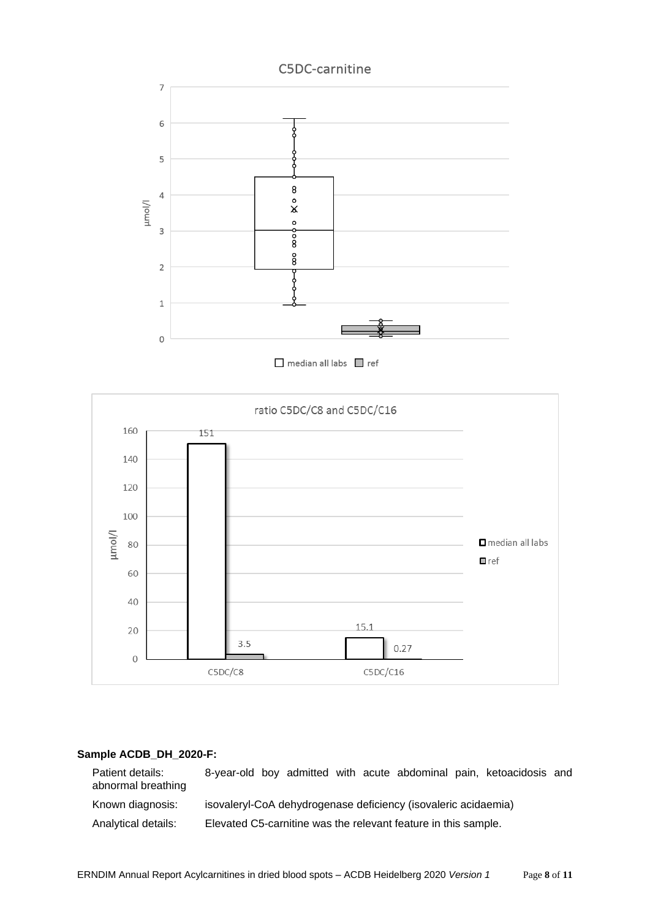

median all labs ref



## **Sample ACDB\_DH\_2020-F:**

Patient details: 8-year-old boy admitted with acute abdominal pain, ketoacidosis and abnormal breathing Known diagnosis: isovaleryl-CoA dehydrogenase deficiency (isovaleric acidaemia) Analytical details: Elevated C5-carnitine was the relevant feature in this sample.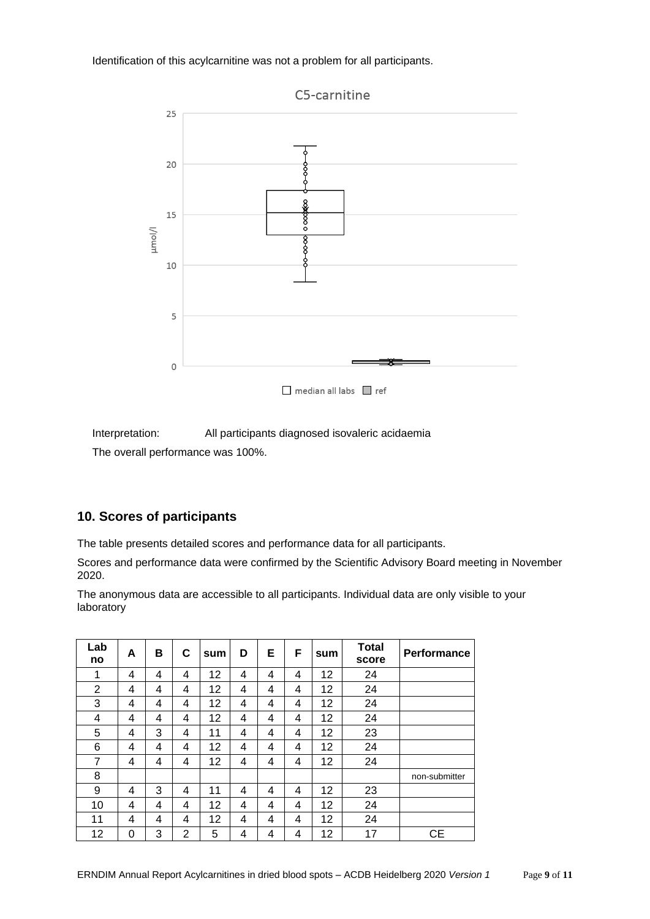Identification of this acylcarnitine was not a problem for all participants.



Interpretation: All participants diagnosed isovaleric acidaemia The overall performance was 100%.

# **10. Scores of participants**

The table presents detailed scores and performance data for all participants.

Scores and performance data were confirmed by the Scientific Advisory Board meeting in November 2020.

The anonymous data are accessible to all participants. Individual data are only visible to your laboratory

| Lab<br>no      | A | в | С              | sum | D | Е | F | sum | <b>Total</b><br>score | <b>Performance</b> |
|----------------|---|---|----------------|-----|---|---|---|-----|-----------------------|--------------------|
| 1              | 4 | 4 | 4              | 12  | 4 | 4 | 4 | 12  | 24                    |                    |
| $\overline{2}$ | 4 | 4 | 4              | 12  | 4 | 4 | 4 | 12  | 24                    |                    |
| 3              | 4 | 4 | 4              | 12  | 4 | 4 | 4 | 12  | 24                    |                    |
| 4              | 4 | 4 | 4              | 12  | 4 | 4 | 4 | 12  | 24                    |                    |
| 5              | 4 | 3 | 4              | 11  | 4 | 4 | 4 | 12  | 23                    |                    |
| 6              | 4 | 4 | 4              | 12  | 4 | 4 | 4 | 12  | 24                    |                    |
| 7              | 4 | 4 | 4              | 12  | 4 | 4 | 4 | 12  | 24                    |                    |
| 8              |   |   |                |     |   |   |   |     |                       | non-submitter      |
| 9              | 4 | 3 | 4              | 11  | 4 | 4 | 4 | 12  | 23                    |                    |
| 10             | 4 | 4 | 4              | 12  | 4 | 4 | 4 | 12  | 24                    |                    |
| 11             | 4 | 4 | 4              | 12  | 4 | 4 | 4 | 12  | 24                    |                    |
| 12             | 0 | 3 | $\overline{2}$ | 5   | 4 | 4 | 4 | 12  | 17                    | <b>CE</b>          |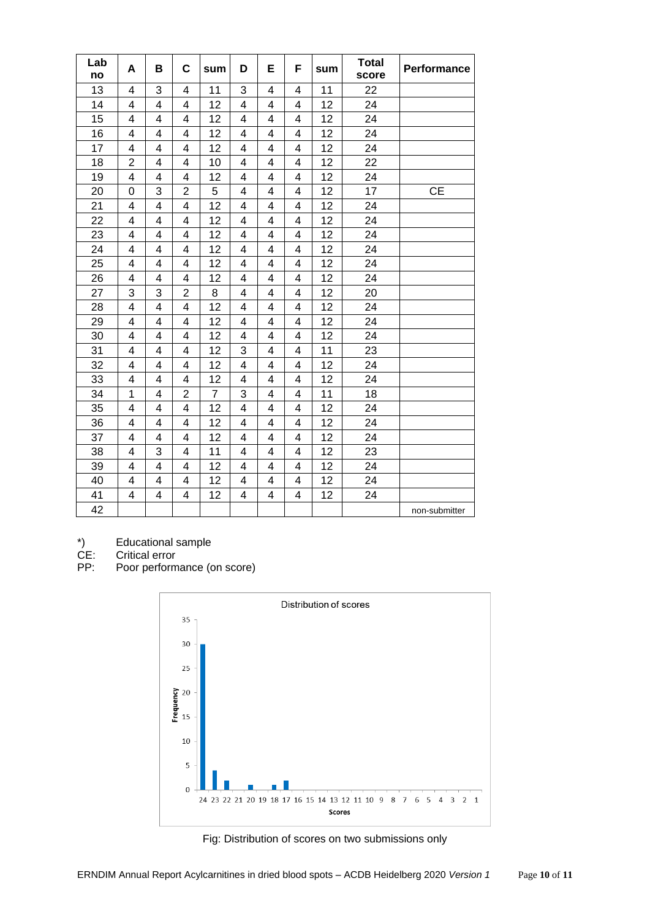| Lab<br>no | A              | в | C              | sum            | D | Е | F                       | sum | <b>Total</b><br>score | Performance   |
|-----------|----------------|---|----------------|----------------|---|---|-------------------------|-----|-----------------------|---------------|
| 13        | 4              | 3 | 4              | 11             | 3 | 4 | 4                       | 11  | 22                    |               |
| 14        | 4              | 4 | 4              | 12             | 4 | 4 | 4                       | 12  | 24                    |               |
| 15        | 4              | 4 | 4              | 12             | 4 | 4 | 4                       | 12  | 24                    |               |
| 16        | 4              | 4 | 4              | 12             | 4 | 4 | 4                       | 12  | 24                    |               |
| 17        | 4              | 4 | 4              | 12             | 4 | 4 | 4                       | 12  | 24                    |               |
| 18        | $\overline{2}$ | 4 | 4              | 10             | 4 | 4 | 4                       | 12  | 22                    |               |
| 19        | 4              | 4 | 4              | 12             | 4 | 4 | 4                       | 12  | 24                    |               |
| 20        | 0              | 3 | $\overline{2}$ | 5              | 4 | 4 | $\overline{\mathbf{4}}$ | 12  | 17                    | <b>CE</b>     |
| 21        | 4              | 4 | 4              | 12             | 4 | 4 | 4                       | 12  | 24                    |               |
| 22        | 4              | 4 | 4              | 12             | 4 | 4 | 4                       | 12  | 24                    |               |
| 23        | 4              | 4 | 4              | 12             | 4 | 4 | 4                       | 12  | 24                    |               |
| 24        | 4              | 4 | 4              | 12             | 4 | 4 | 4                       | 12  | 24                    |               |
| 25        | 4              | 4 | 4              | 12             | 4 | 4 | 4                       | 12  | 24                    |               |
| 26        | 4              | 4 | 4              | 12             | 4 | 4 | $\overline{\mathbf{4}}$ | 12  | 24                    |               |
| 27        | 3              | 3 | $\overline{2}$ | 8              | 4 | 4 | 4                       | 12  | 20                    |               |
| 28        | 4              | 4 | 4              | 12             | 4 | 4 | 4                       | 12  | 24                    |               |
| 29        | 4              | 4 | 4              | 12             | 4 | 4 | $\overline{\mathbf{4}}$ | 12  | 24                    |               |
| 30        | 4              | 4 | 4              | 12             | 4 | 4 | 4                       | 12  | 24                    |               |
| 31        | 4              | 4 | 4              | 12             | 3 | 4 | 4                       | 11  | 23                    |               |
| 32        | 4              | 4 | 4              | 12             | 4 | 4 | 4                       | 12  | 24                    |               |
| 33        | 4              | 4 | 4              | 12             | 4 | 4 | 4                       | 12  | 24                    |               |
| 34        | 1              | 4 | $\overline{2}$ | $\overline{7}$ | 3 | 4 | 4                       | 11  | 18                    |               |
| 35        | 4              | 4 | 4              | 12             | 4 | 4 | 4                       | 12  | 24                    |               |
| 36        | 4              | 4 | 4              | 12             | 4 | 4 | 4                       | 12  | 24                    |               |
| 37        | 4              | 4 | 4              | 12             | 4 | 4 | 4                       | 12  | 24                    |               |
| 38        | 4              | 3 | 4              | 11             | 4 | 4 | 4                       | 12  | 23                    |               |
| 39        | 4              | 4 | 4              | 12             | 4 | 4 | 4                       | 12  | 24                    |               |
| 40        | 4              | 4 | 4              | 12             | 4 | 4 | 4                       | 12  | 24                    |               |
| 41        | 4              | 4 | 4              | 12             | 4 | 4 | 4                       | 12  | 24                    |               |
| 42        |                |   |                |                |   |   |                         |     |                       | non-submitter |

Critical error

\*) Educational sample<br>CE: Critical error<br>PP: Poor performance (o Poor performance (on score)



Fig: Distribution of scores on two submissions only